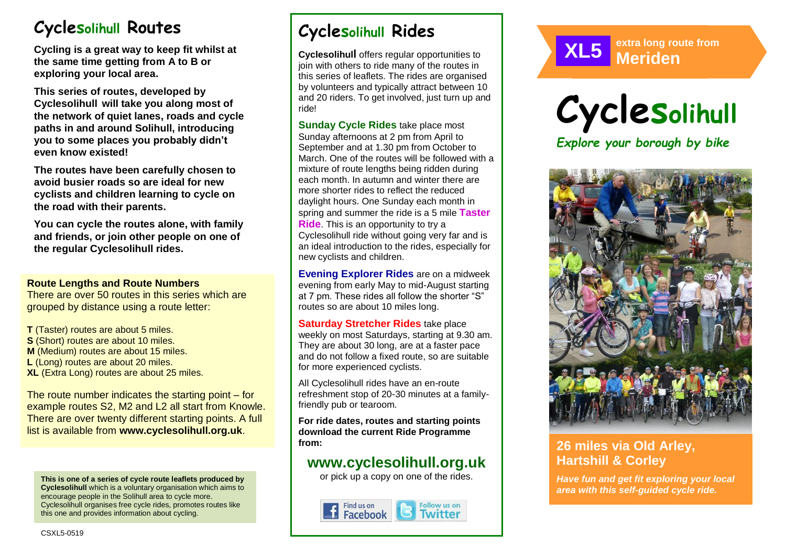# **Cyclesolihull Routes**

**Cycling is a great way to keep fit whilst at the same time getting from A to B or exploring your local area.** 

**This series of routes, developed by Cyclesolihull will take you along most of the network of quiet lanes, roads and cycle paths in and around Solihull, introducing you to some places you probably didn't even know existed!**

**The routes have been carefully chosen to avoid busier roads so are ideal for new cyclists and children learning to cycle on the road with their parents.** 

**You can cycle the routes alone, with family and friends, or join other people on one of the regular Cyclesolihull rides.**

#### **Route Lengths and Route Numbers**

There are over 50 routes in this series which are grouped by distance using a route letter:

**T** (Taster) routes are about 5 miles. **S** (Short) routes are about 10 miles. **M** (Medium) routes are about 15 miles. **L** (Long) routes are about 20 miles. **XL** (Extra Long) routes are about 25 miles.

The route number indicates the starting point – for example routes S2, M2 and L2 all start from Knowle. There are over twenty different starting points. A full list is available from **www.cyclesolihull.org.uk**.

**This is one of a series of cycle route leaflets produced by Cyclesolihull** which is a voluntary organisation which aims to encourage people in the Solihull area to cycle more. Cyclesolihull organises free cycle rides, promotes routes like this one and provides information about cycling.

# **Cyclesolihull Rides**

**Cyclesolihull** offers regular opportunities to join with others to ride many of the routes in this series of leaflets. The rides are organised by volunteers and typically attract between 10 and 20 riders. To get involved, just turn up and ride!

**Sunday Cycle Rides** take place most Sunday afternoons at 2 pm from April to September and at 1.30 pm from October to March. One of the routes will be followed with a mixture of route lengths being ridden during each month. In autumn and winter there are more shorter rides to reflect the reduced daylight hours. One Sunday each month in spring and summer the ride is a 5 mile **Taster Ride**. This is an opportunity to try a Cyclesolihull ride without going very far and is an ideal introduction to the rides, especially for new cyclists and children.

**Evening Explorer Rides** are on a midweek evening from early May to mid-August starting at 7 pm. These rides all follow the shorter "S" routes so are about 10 miles long.

**Saturday Stretcher Rides** take place weekly on most Saturdays, starting at 9.30 am. They are about 30 long, are at a faster pace and do not follow a fixed route, so are suitable for more experienced cyclists.

All Cyclesolihull rides have an en-route refreshment stop of 20-30 minutes at a familyfriendly pub or tearoom.

**For ride dates, routes and starting points download the current Ride Programme from:** 

## **www.cyclesolihull.org.uk**

or pick up a copy on one of the rides.









## **26 miles via Old Arley, Hartshill & Corley**

*Have fun and get fit exploring your local area with this self-guided cycle ride.*